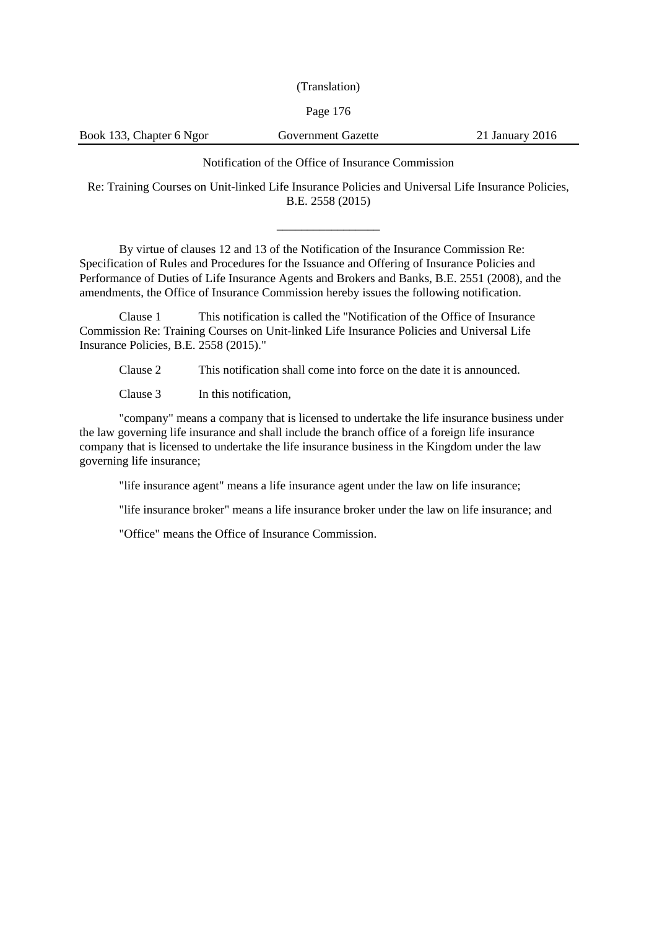(Translation)

# Page 176

Book 133, Chapter 6 Ngor Government Gazette 21 January 2016

Notification of the Office of Insurance Commission

Re: Training Courses on Unit-linked Life Insurance Policies and Universal Life Insurance Policies, B.E. 2558 (2015)

\_\_\_\_\_\_\_\_\_\_\_\_\_\_\_\_\_

By virtue of clauses 12 and 13 of the Notification of the Insurance Commission Re: Specification of Rules and Procedures for the Issuance and Offering of Insurance Policies and Performance of Duties of Life Insurance Agents and Brokers and Banks, B.E. 2551 (2008), and the amendments, the Office of Insurance Commission hereby issues the following notification.

Clause 1 This notification is called the "Notification of the Office of Insurance Commission Re: Training Courses on Unit-linked Life Insurance Policies and Universal Life Insurance Policies, B.E. 2558 (2015)."

Clause 2 This notification shall come into force on the date it is announced.

Clause 3 In this notification.

"company" means a company that is licensed to undertake the life insurance business under the law governing life insurance and shall include the branch office of a foreign life insurance company that is licensed to undertake the life insurance business in the Kingdom under the law governing life insurance;

"life insurance agent" means a life insurance agent under the law on life insurance;

"life insurance broker" means a life insurance broker under the law on life insurance; and

"Office" means the Office of Insurance Commission.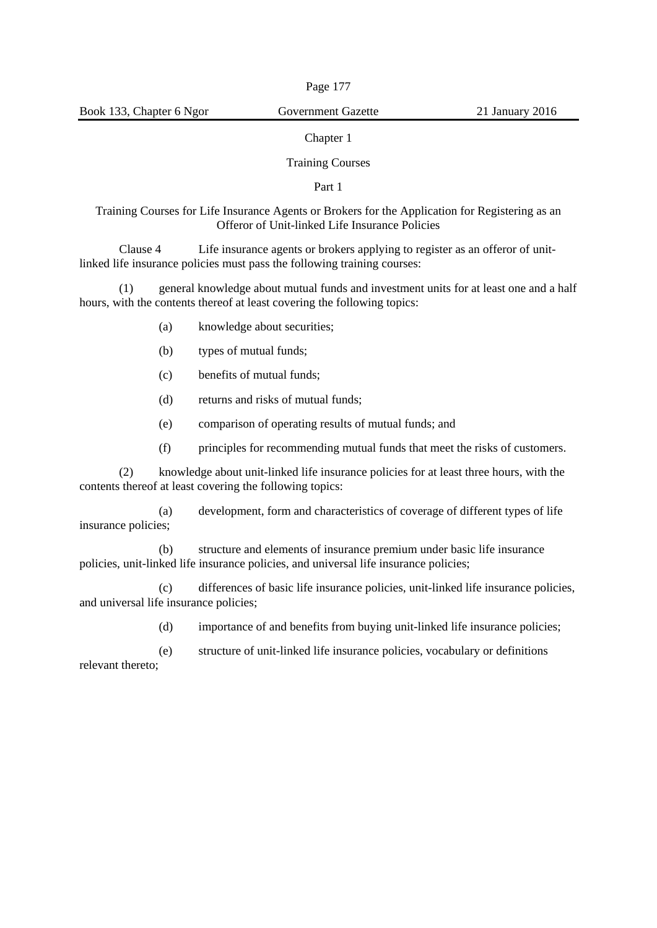# Chapter 1

## Training Courses

## Part 1

# Training Courses for Life Insurance Agents or Brokers for the Application for Registering as an Offeror of Unit-linked Life Insurance Policies

Clause 4 Life insurance agents or brokers applying to register as an offeror of unitlinked life insurance policies must pass the following training courses:

(1) general knowledge about mutual funds and investment units for at least one and a half hours, with the contents thereof at least covering the following topics:

- (a) knowledge about securities;
- (b) types of mutual funds;
- (c) benefits of mutual funds;
- (d) returns and risks of mutual funds;
- (e) comparison of operating results of mutual funds; and
- (f) principles for recommending mutual funds that meet the risks of customers.

(2) knowledge about unit-linked life insurance policies for at least three hours, with the contents thereof at least covering the following topics:

(a) development, form and characteristics of coverage of different types of life insurance policies;

(b) structure and elements of insurance premium under basic life insurance policies, unit-linked life insurance policies, and universal life insurance policies;

(c) differences of basic life insurance policies, unit-linked life insurance policies, and universal life insurance policies;

(d) importance of and benefits from buying unit-linked life insurance policies;

(e) structure of unit-linked life insurance policies, vocabulary or definitions relevant thereto;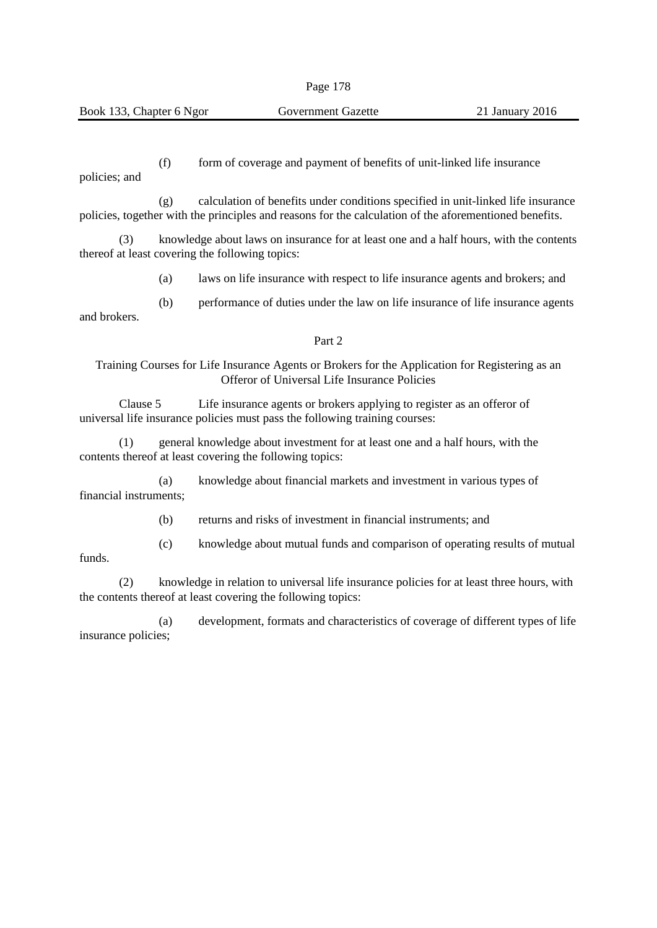(f) form of coverage and payment of benefits of unit-linked life insurance

policies; and

funds.

(g) calculation of benefits under conditions specified in unit-linked life insurance policies, together with the principles and reasons for the calculation of the aforementioned benefits.

(3) knowledge about laws on insurance for at least one and a half hours, with the contents thereof at least covering the following topics:

(a) laws on life insurance with respect to life insurance agents and brokers; and

(b) performance of duties under the law on life insurance of life insurance agents and brokers.

#### Part 2

## Training Courses for Life Insurance Agents or Brokers for the Application for Registering as an Offeror of Universal Life Insurance Policies

Clause 5 Life insurance agents or brokers applying to register as an offeror of universal life insurance policies must pass the following training courses:

(1) general knowledge about investment for at least one and a half hours, with the contents thereof at least covering the following topics:

(a) knowledge about financial markets and investment in various types of financial instruments;

(b) returns and risks of investment in financial instruments; and

(c) knowledge about mutual funds and comparison of operating results of mutual

(2) knowledge in relation to universal life insurance policies for at least three hours, with the contents thereof at least covering the following topics:

(a) development, formats and characteristics of coverage of different types of life insurance policies;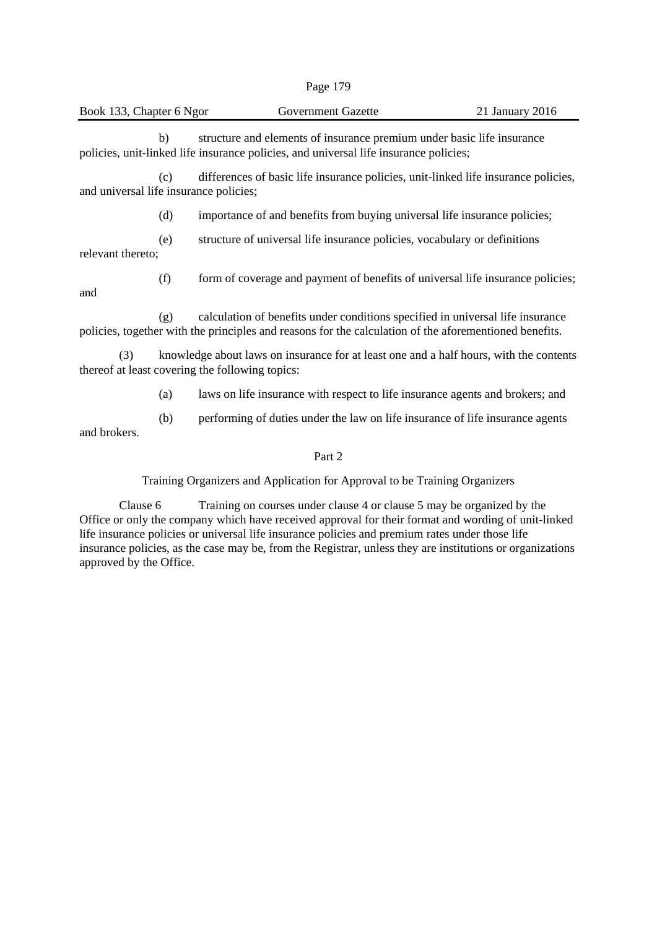| яσ | $\mathbf{\Omega}$<br>-7 |
|----|-------------------------|
|----|-------------------------|

|  | Book 133. Chapter 6 Ngor |  |  |
|--|--------------------------|--|--|

b) structure and elements of insurance premium under basic life insurance policies, unit-linked life insurance policies, and universal life insurance policies;

(c) differences of basic life insurance policies, unit-linked life insurance policies, and universal life insurance policies;

(d) importance of and benefits from buying universal life insurance policies;

(e) structure of universal life insurance policies, vocabulary or definitions relevant thereto;

(f) form of coverage and payment of benefits of universal life insurance policies;

and

(g) calculation of benefits under conditions specified in universal life insurance policies, together with the principles and reasons for the calculation of the aforementioned benefits.

(3) knowledge about laws on insurance for at least one and a half hours, with the contents thereof at least covering the following topics:

(a) laws on life insurance with respect to life insurance agents and brokers; and

(b) performing of duties under the law on life insurance of life insurance agents and brokers.

### Part 2

Training Organizers and Application for Approval to be Training Organizers

Clause 6 Training on courses under clause 4 or clause 5 may be organized by the Office or only the company which have received approval for their format and wording of unit-linked life insurance policies or universal life insurance policies and premium rates under those life insurance policies, as the case may be, from the Registrar, unless they are institutions or organizations approved by the Office.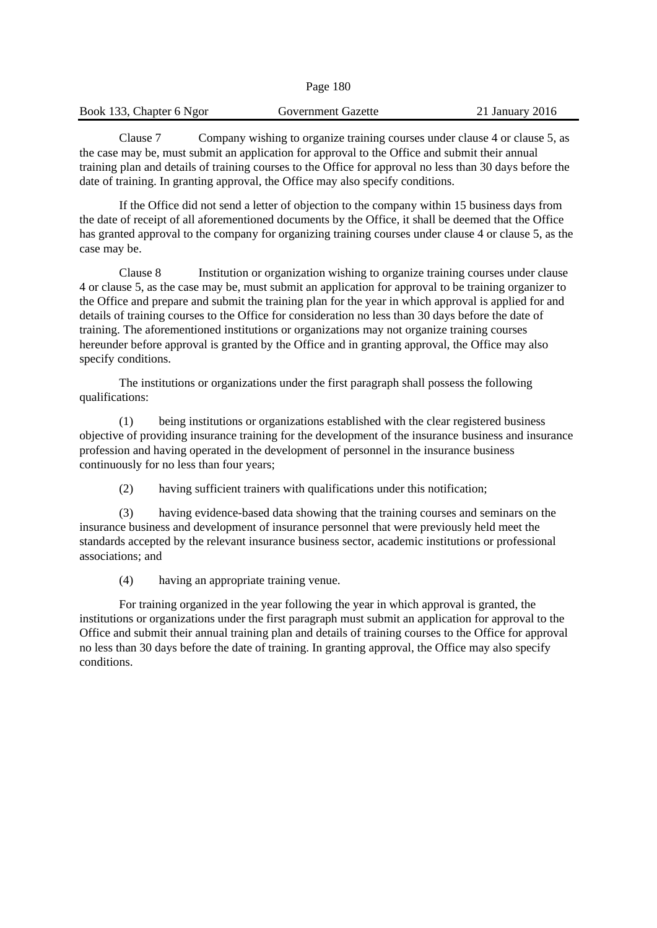| Book 133, Chapter 6 Ngor | Government Gazette | 21 January 2016 |
|--------------------------|--------------------|-----------------|
|                          |                    |                 |

Page 180

Clause 7 Company wishing to organize training courses under clause 4 or clause 5, as the case may be, must submit an application for approval to the Office and submit their annual training plan and details of training courses to the Office for approval no less than 30 days before the date of training. In granting approval, the Office may also specify conditions.

If the Office did not send a letter of objection to the company within 15 business days from the date of receipt of all aforementioned documents by the Office, it shall be deemed that the Office has granted approval to the company for organizing training courses under clause 4 or clause 5, as the case may be.

Clause 8 Institution or organization wishing to organize training courses under clause 4 or clause 5, as the case may be, must submit an application for approval to be training organizer to the Office and prepare and submit the training plan for the year in which approval is applied for and details of training courses to the Office for consideration no less than 30 days before the date of training. The aforementioned institutions or organizations may not organize training courses hereunder before approval is granted by the Office and in granting approval, the Office may also specify conditions.

The institutions or organizations under the first paragraph shall possess the following qualifications:

(1) being institutions or organizations established with the clear registered business objective of providing insurance training for the development of the insurance business and insurance profession and having operated in the development of personnel in the insurance business continuously for no less than four years;

(2) having sufficient trainers with qualifications under this notification;

(3) having evidence-based data showing that the training courses and seminars on the insurance business and development of insurance personnel that were previously held meet the standards accepted by the relevant insurance business sector, academic institutions or professional associations; and

(4) having an appropriate training venue.

For training organized in the year following the year in which approval is granted, the institutions or organizations under the first paragraph must submit an application for approval to the Office and submit their annual training plan and details of training courses to the Office for approval no less than 30 days before the date of training. In granting approval, the Office may also specify conditions.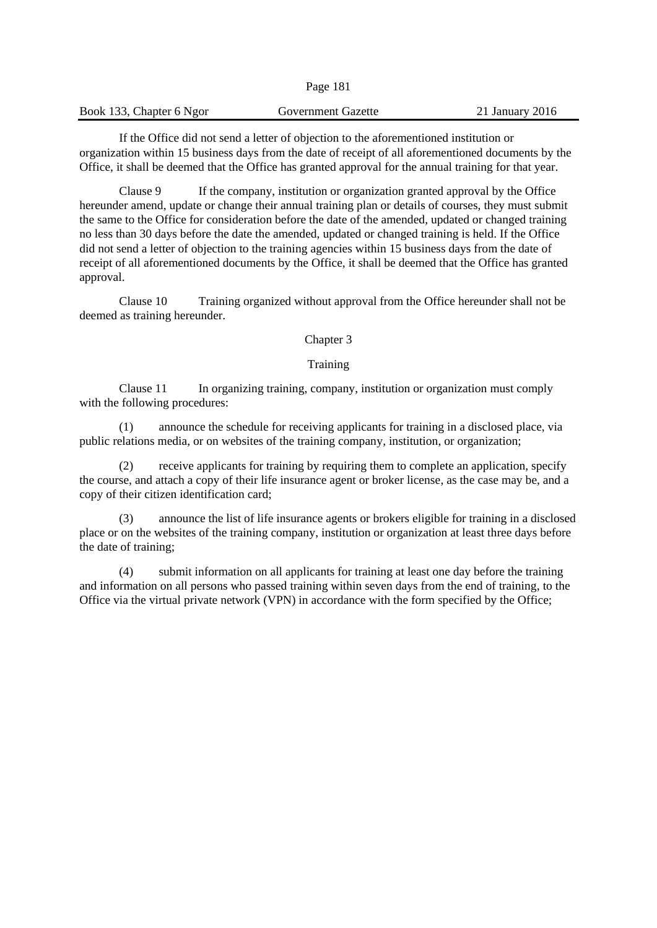|                          | -------            |                     |
|--------------------------|--------------------|---------------------|
| Book 133, Chapter 6 Ngor | Government Gazette | $21$ January $2016$ |
|                          |                    |                     |

Page 181

If the Office did not send a letter of objection to the aforementioned institution or organization within 15 business days from the date of receipt of all aforementioned documents by the Office, it shall be deemed that the Office has granted approval for the annual training for that year.

Clause 9 If the company, institution or organization granted approval by the Office hereunder amend, update or change their annual training plan or details of courses, they must submit the same to the Office for consideration before the date of the amended, updated or changed training no less than 30 days before the date the amended, updated or changed training is held. If the Office did not send a letter of objection to the training agencies within 15 business days from the date of receipt of all aforementioned documents by the Office, it shall be deemed that the Office has granted approval.

Clause 10 Training organized without approval from the Office hereunder shall not be deemed as training hereunder.

#### Chapter 3

## Training

Clause 11 In organizing training, company, institution or organization must comply with the following procedures:

(1) announce the schedule for receiving applicants for training in a disclosed place, via public relations media, or on websites of the training company, institution, or organization;

(2) receive applicants for training by requiring them to complete an application, specify the course, and attach a copy of their life insurance agent or broker license, as the case may be, and a copy of their citizen identification card;

(3) announce the list of life insurance agents or brokers eligible for training in a disclosed place or on the websites of the training company, institution or organization at least three days before the date of training;

(4) submit information on all applicants for training at least one day before the training and information on all persons who passed training within seven days from the end of training, to the Office via the virtual private network (VPN) in accordance with the form specified by the Office;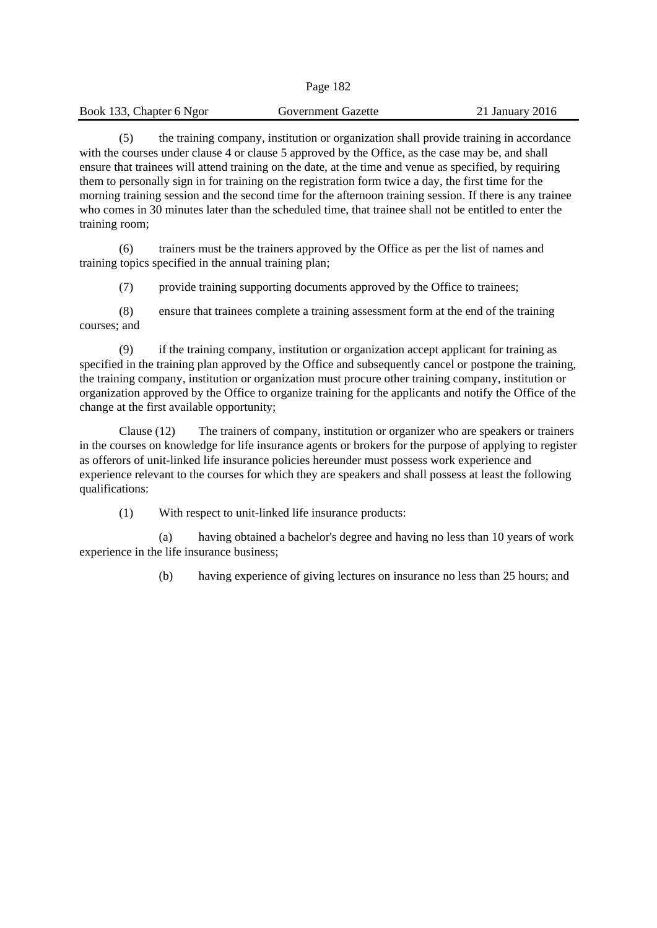| Page | 1<br>82 |
|------|---------|
|------|---------|

| Book 133, Chapter 6 Ngor | <b>Government Gazette</b> | 21 January 2016 |
|--------------------------|---------------------------|-----------------|
|                          |                           |                 |

(5) the training company, institution or organization shall provide training in accordance with the courses under clause 4 or clause 5 approved by the Office, as the case may be, and shall ensure that trainees will attend training on the date, at the time and venue as specified, by requiring them to personally sign in for training on the registration form twice a day, the first time for the morning training session and the second time for the afternoon training session. If there is any trainee who comes in 30 minutes later than the scheduled time, that trainee shall not be entitled to enter the training room;

(6) trainers must be the trainers approved by the Office as per the list of names and training topics specified in the annual training plan;

(7) provide training supporting documents approved by the Office to trainees;

(8) ensure that trainees complete a training assessment form at the end of the training courses; and

(9) if the training company, institution or organization accept applicant for training as specified in the training plan approved by the Office and subsequently cancel or postpone the training, the training company, institution or organization must procure other training company, institution or organization approved by the Office to organize training for the applicants and notify the Office of the change at the first available opportunity;

Clause (12) The trainers of company, institution or organizer who are speakers or trainers in the courses on knowledge for life insurance agents or brokers for the purpose of applying to register as offerors of unit-linked life insurance policies hereunder must possess work experience and experience relevant to the courses for which they are speakers and shall possess at least the following qualifications:

(1) With respect to unit-linked life insurance products:

(a) having obtained a bachelor's degree and having no less than 10 years of work experience in the life insurance business;

(b) having experience of giving lectures on insurance no less than 25 hours; and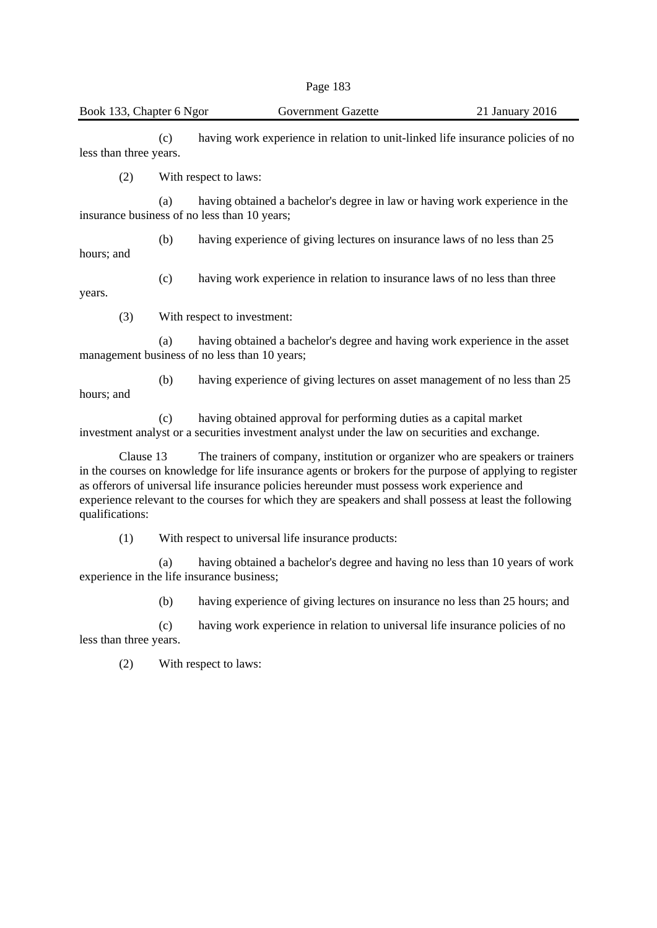(c) having work experience in relation to unit-linked life insurance policies of no less than three years.

(2) With respect to laws:

(a) having obtained a bachelor's degree in law or having work experience in the insurance business of no less than 10 years;

(b) having experience of giving lectures on insurance laws of no less than 25 hours; and

(c) having work experience in relation to insurance laws of no less than three

years.

(3) With respect to investment:

(a) having obtained a bachelor's degree and having work experience in the asset management business of no less than 10 years;

(b) having experience of giving lectures on asset management of no less than 25 hours; and

(c) having obtained approval for performing duties as a capital market investment analyst or a securities investment analyst under the law on securities and exchange.

Clause 13 The trainers of company, institution or organizer who are speakers or trainers in the courses on knowledge for life insurance agents or brokers for the purpose of applying to register as offerors of universal life insurance policies hereunder must possess work experience and experience relevant to the courses for which they are speakers and shall possess at least the following qualifications:

(1) With respect to universal life insurance products:

(a) having obtained a bachelor's degree and having no less than 10 years of work experience in the life insurance business;

(b) having experience of giving lectures on insurance no less than 25 hours; and

(c) having work experience in relation to universal life insurance policies of no less than three years.

(2) With respect to laws: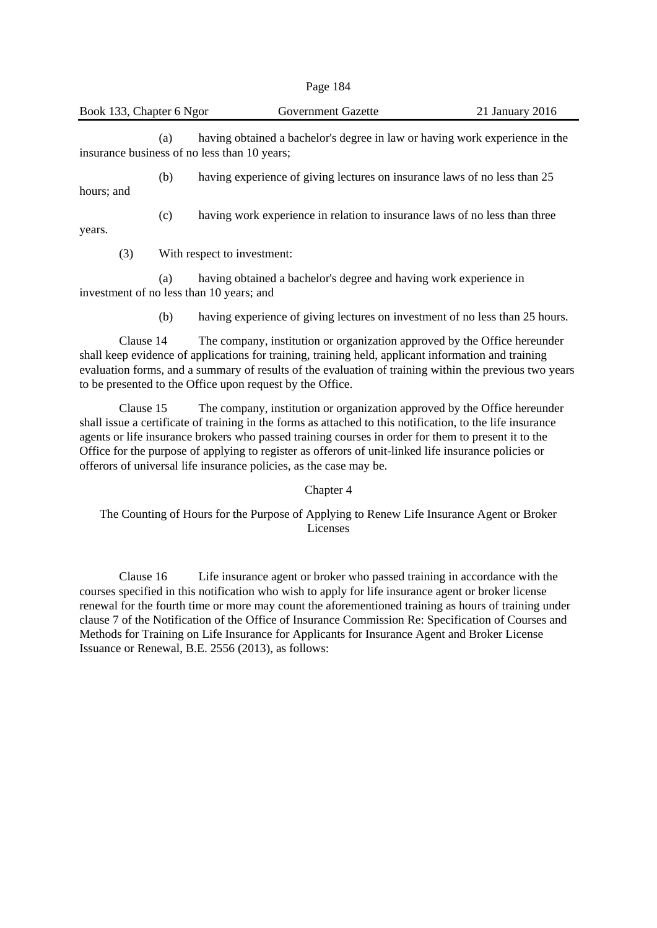| Page 184 |  |
|----------|--|
|----------|--|

(a) having obtained a bachelor's degree in law or having work experience in the insurance business of no less than 10 years;

(b) having experience of giving lectures on insurance laws of no less than 25 hours; and

(c) having work experience in relation to insurance laws of no less than three

years.

(3) With respect to investment:

(a) having obtained a bachelor's degree and having work experience in investment of no less than 10 years; and

(b) having experience of giving lectures on investment of no less than 25 hours.

Clause 14 The company, institution or organization approved by the Office hereunder shall keep evidence of applications for training, training held, applicant information and training evaluation forms, and a summary of results of the evaluation of training within the previous two years to be presented to the Office upon request by the Office.

Clause 15 The company, institution or organization approved by the Office hereunder shall issue a certificate of training in the forms as attached to this notification, to the life insurance agents or life insurance brokers who passed training courses in order for them to present it to the Office for the purpose of applying to register as offerors of unit-linked life insurance policies or offerors of universal life insurance policies, as the case may be.

Chapter 4

The Counting of Hours for the Purpose of Applying to Renew Life Insurance Agent or Broker Licenses

Clause 16 Life insurance agent or broker who passed training in accordance with the courses specified in this notification who wish to apply for life insurance agent or broker license renewal for the fourth time or more may count the aforementioned training as hours of training under clause 7 of the Notification of the Office of Insurance Commission Re: Specification of Courses and Methods for Training on Life Insurance for Applicants for Insurance Agent and Broker License Issuance or Renewal, B.E. 2556 (2013), as follows: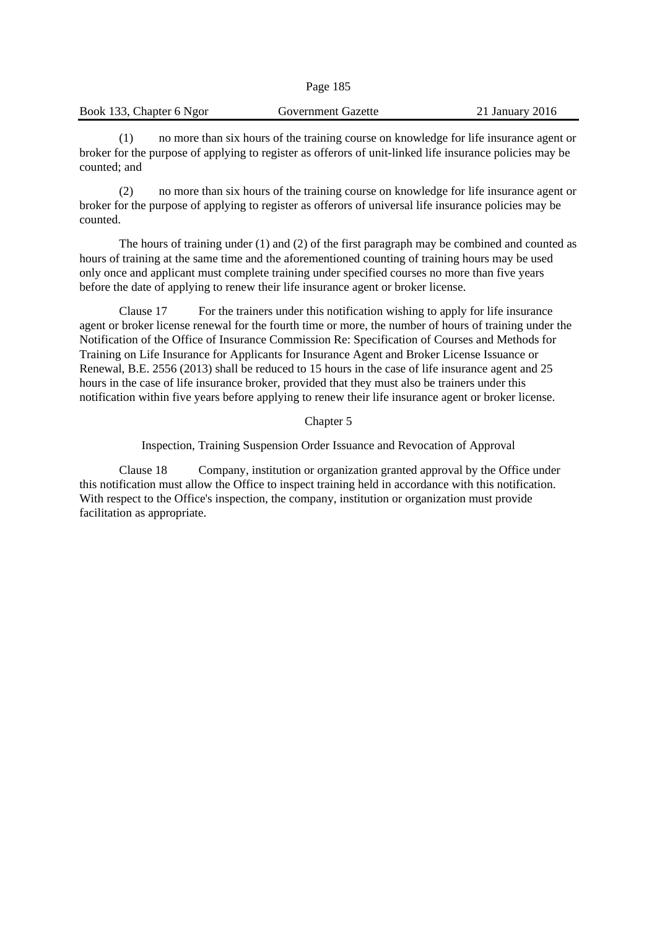| Book 133, Chapter 6 Ngor | <b>Government Gazette</b> | 21 January 2016 |
|--------------------------|---------------------------|-----------------|
|                          |                           |                 |

Page 185

(1) no more than six hours of the training course on knowledge for life insurance agent or broker for the purpose of applying to register as offerors of unit-linked life insurance policies may be counted; and

(2) no more than six hours of the training course on knowledge for life insurance agent or broker for the purpose of applying to register as offerors of universal life insurance policies may be counted.

The hours of training under (1) and (2) of the first paragraph may be combined and counted as hours of training at the same time and the aforementioned counting of training hours may be used only once and applicant must complete training under specified courses no more than five years before the date of applying to renew their life insurance agent or broker license.

Clause 17 For the trainers under this notification wishing to apply for life insurance agent or broker license renewal for the fourth time or more, the number of hours of training under the Notification of the Office of Insurance Commission Re: Specification of Courses and Methods for Training on Life Insurance for Applicants for Insurance Agent and Broker License Issuance or Renewal, B.E. 2556 (2013) shall be reduced to 15 hours in the case of life insurance agent and 25 hours in the case of life insurance broker, provided that they must also be trainers under this notification within five years before applying to renew their life insurance agent or broker license.

Chapter 5

Inspection, Training Suspension Order Issuance and Revocation of Approval

Clause 18 Company, institution or organization granted approval by the Office under this notification must allow the Office to inspect training held in accordance with this notification. With respect to the Office's inspection, the company, institution or organization must provide facilitation as appropriate.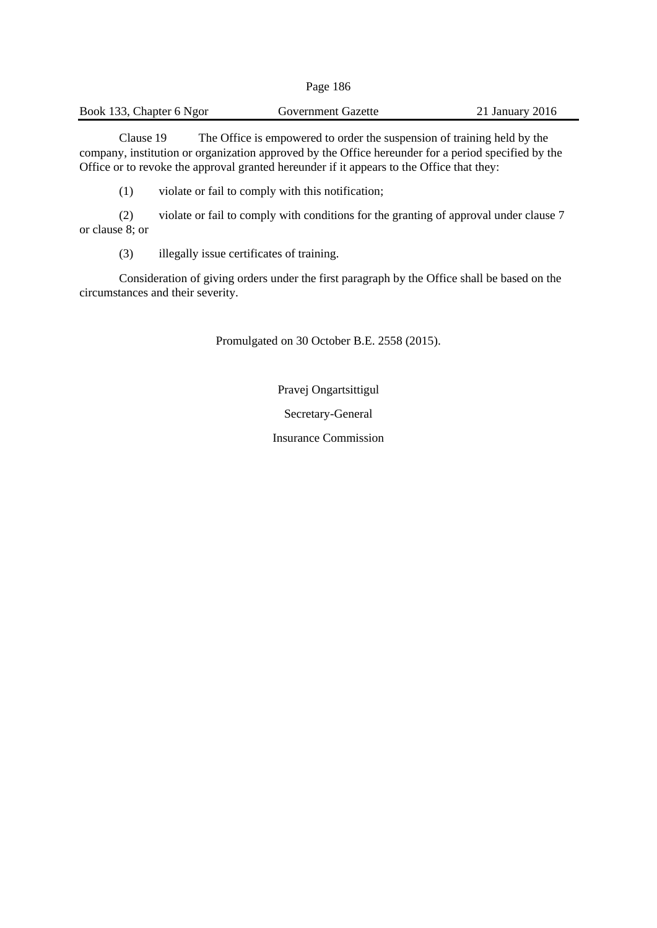| Book 133, Chapter 6 Ngor | Government Gazette | 21 January 2016 |
|--------------------------|--------------------|-----------------|
|--------------------------|--------------------|-----------------|

Clause 19 The Office is empowered to order the suspension of training held by the company, institution or organization approved by the Office hereunder for a period specified by the Office or to revoke the approval granted hereunder if it appears to the Office that they:

(1) violate or fail to comply with this notification;

(2) violate or fail to comply with conditions for the granting of approval under clause 7 or clause 8; or

(3) illegally issue certificates of training.

Consideration of giving orders under the first paragraph by the Office shall be based on the circumstances and their severity.

Promulgated on 30 October B.E. 2558 (2015).

Pravej Ongartsittigul

Secretary-General

Insurance Commission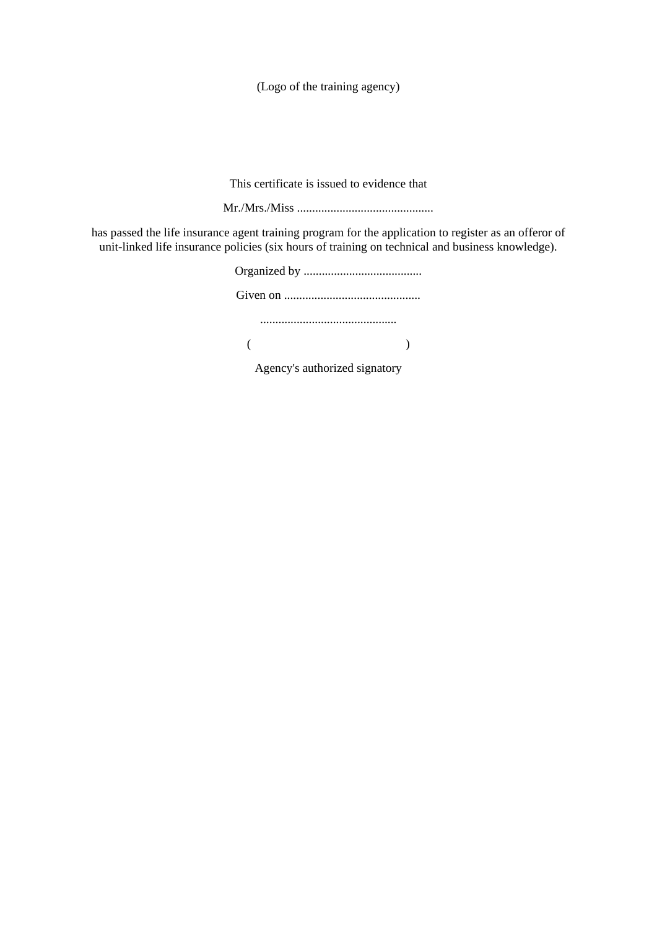This certificate is issued to evidence that

Mr./Mrs./Miss .............................................

has passed the life insurance agent training program for the application to register as an offeror of unit-linked life insurance policies (six hours of training on technical and business knowledge).

| Agency's authorized signatory |  |  |
|-------------------------------|--|--|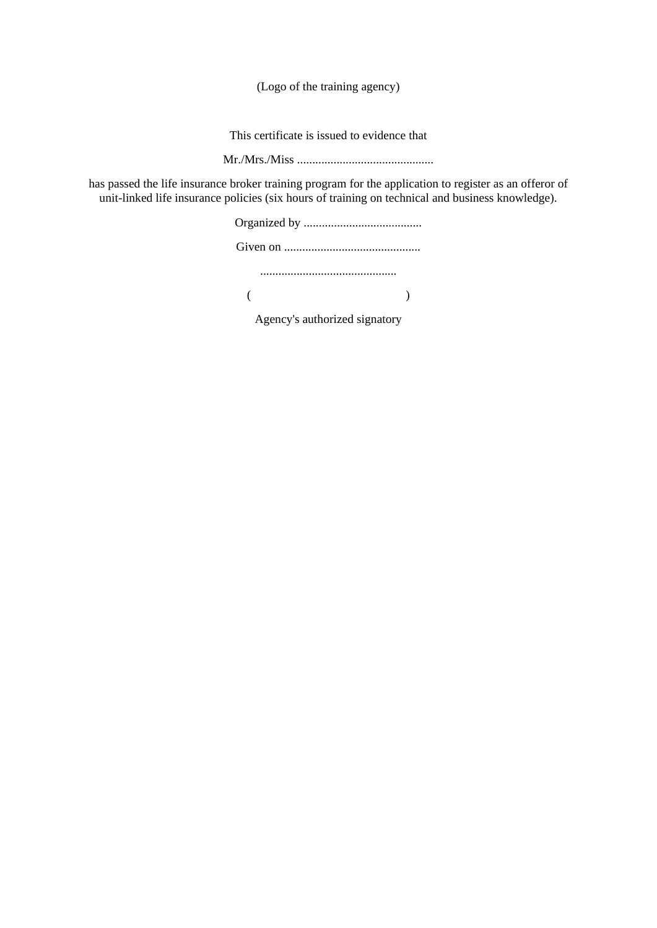This certificate is issued to evidence that

Mr./Mrs./Miss .............................................

has passed the life insurance broker training program for the application to register as an offeror of unit-linked life insurance policies (six hours of training on technical and business knowledge).

> Organized by ....................................... Given on ............................................. .............................................  $($  )

Agency's authorized signatory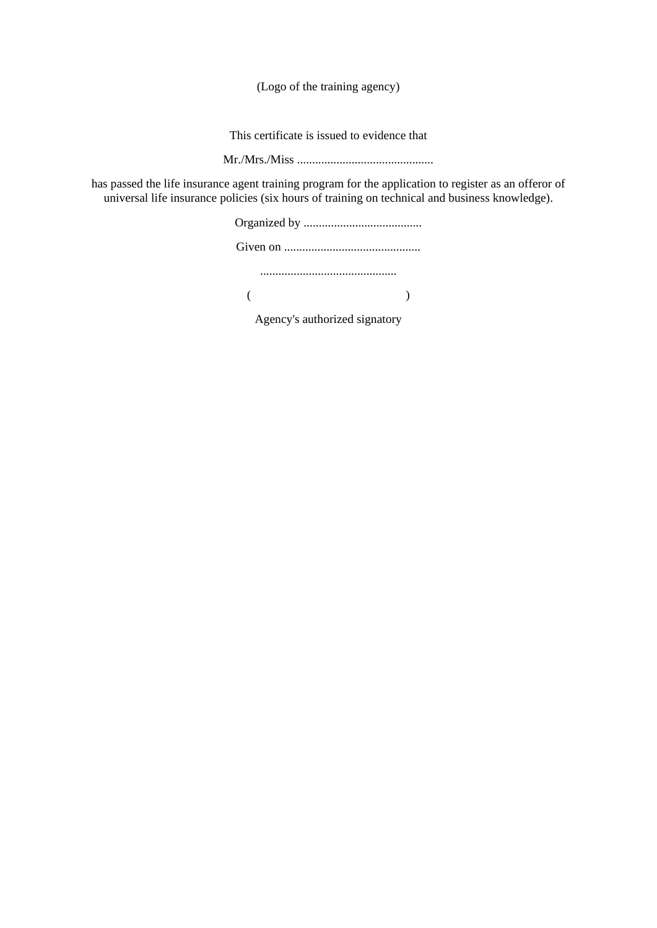This certificate is issued to evidence that

Mr./Mrs./Miss .............................................

has passed the life insurance agent training program for the application to register as an offeror of universal life insurance policies (six hours of training on technical and business knowledge).

Agency's authorized signatory